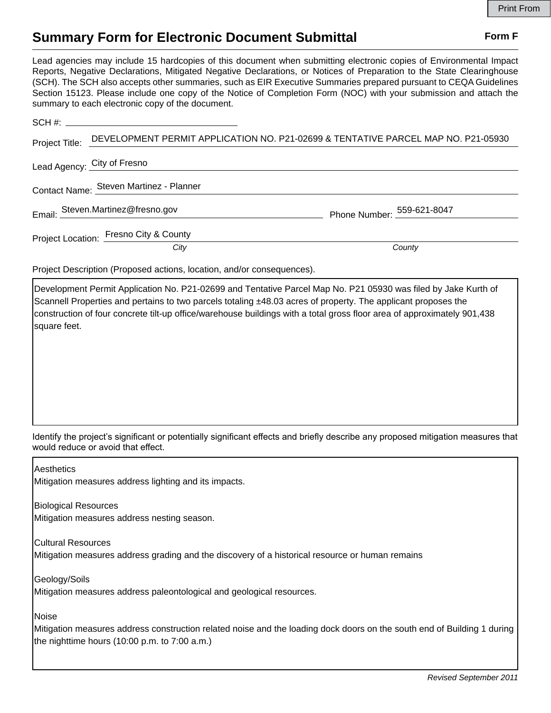## **Summary Form for Electronic Document Submittal Form F Form F**

Lead agencies may include 15 hardcopies of this document when submitting electronic copies of Environmental Impact Reports, Negative Declarations, Mitigated Negative Declarations, or Notices of Preparation to the State Clearinghouse (SCH). The SCH also accepts other summaries, such as EIR Executive Summaries prepared pursuant to CEQA Guidelines Section 15123. Please include one copy of the Notice of Completion Form (NOC) with your submission and attach the summary to each electronic copy of the document.

|  | $SCH \#$                                                                                         |                            |
|--|--------------------------------------------------------------------------------------------------|----------------------------|
|  | Project Title: DEVELOPMENT PERMIT APPLICATION NO. P21-02699 & TENTATIVE PARCEL MAP NO. P21-05930 |                            |
|  | Lead Agency: City of Fresno                                                                      |                            |
|  | Contact Name: Steven Martinez - Planner                                                          |                            |
|  | Email: Steven.Martinez@fresno.gov                                                                | Phone Number: 559-621-8047 |
|  | Project Location: Fresno City & County                                                           |                            |
|  | City                                                                                             | County                     |

Project Description (Proposed actions, location, and/or consequences).

the nighttime hours (10:00 p.m. to 7:00 a.m.)

Development Permit Application No. P21-02699 and Tentative Parcel Map No. P21 05930 was filed by Jake Kurth of Scannell Properties and pertains to two parcels totaling  $\pm 48.03$  acres of property. The applicant proposes the construction of four concrete tilt-up office/warehouse buildings with a total gross floor area of approximately 901,438 square feet.

Identify the project's significant or potentially significant effects and briefly describe any proposed mitigation measures that would reduce or avoid that effect.

**Aesthetics** Mitigation measures address lighting and its impacts. Biological Resources Mitigation measures address nesting season. Cultural Resources Mitigation measures address grading and the discovery of a historical resource or human remains Geology/Soils Mitigation measures address paleontological and geological resources. **Noise** Mitigation measures address construction related noise and the loading dock doors on the south end of Building 1 during

*Revised September 2011*